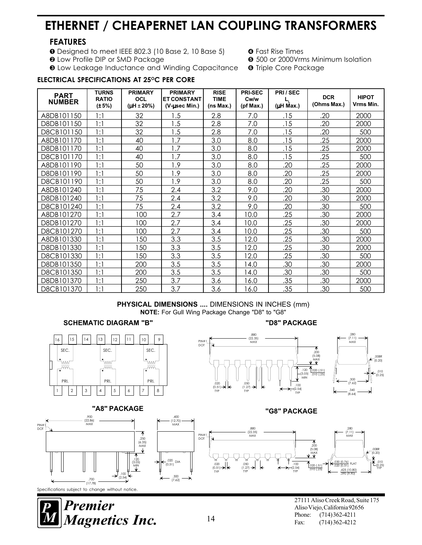# ETHERNET / CHEAPERNET LAN COUPLING TRANSFORMERS

# FEATURES

- **O** Designed to meet IEEE 802.3 (10 Base 2, 10 Base 5) **O** Fast Rise Times<br> **O** Low Profile DIP or SMD Package **G** 500 or 2000Vrn
- 
- 
- **O** 500 or 2000Vrms Minimum Isolation<br>**O** Triple Core Package
- $\odot$  **Low Leakage Inductance and Winding Capacitance**

## ELECTRICAL SPECIFICATIONS AT 25°C PER CORE

| <b>PART</b><br><b>NUMBER</b> | <b>TURNS</b><br><b>RATIO</b><br>$(\pm 5\%)$ | <b>PRIMARY</b><br>OCL<br>( $\mu$ H ± 20%) | <b>PRIMARY</b><br><b>ET CONSTANT</b><br>(V-usec Min.) | <b>RISE</b><br><b>TIME</b><br>(ns Max.) | <b>PRI-SEC</b><br>Cw/w<br>(pt Max.) | PRI/SEC<br>(µH Max.) | <b>DCR</b><br>(Ohms Max.) | <b>HIPOT</b><br>Vrms Min. |
|------------------------------|---------------------------------------------|-------------------------------------------|-------------------------------------------------------|-----------------------------------------|-------------------------------------|----------------------|---------------------------|---------------------------|
| A8DB101150                   | 1:1                                         | 32                                        | 1.5                                                   | 2.8                                     | 7.0                                 | .15                  | .20                       | 2000                      |
| D8DB101150                   | 1:1                                         | 32                                        | .5                                                    | 2.8                                     | 7.0                                 | .15                  | .20                       | 2000                      |
| D8CB101150                   | 1:1                                         | 32                                        | .5                                                    | 2.8                                     | 7.0                                 | .15                  | .20                       | 500                       |
| A8DB101170                   | 1:1                                         | 40                                        | 1.7                                                   | 3.0                                     | 8.0                                 | .15                  | .25                       | 2000                      |
| D8DB101170                   | 1:1                                         | 40                                        | $\overline{.7}$                                       | 3.0                                     | 8.0                                 | .15                  | .25                       | 2000                      |
| D8CB101170                   | 1:1                                         | 40                                        | 1.7                                                   | 3.0                                     | 8.0                                 | .15                  | .25                       | 500                       |
| A8DB101190                   | 1:1                                         | 50                                        | 1.9                                                   | 3.0                                     | 8.0                                 | .20                  | .25                       | 2000                      |
| D8DB101190                   | 1:1                                         | 50                                        | 1.9                                                   | 3.0                                     | 8.0                                 | .20                  | .25                       | 2000                      |
| D8CB101190                   | 1:1                                         | 50                                        | 1.9                                                   | 3.0                                     | 8.0                                 | .20                  | .25                       | 500                       |
| A8DB101240                   | 1:1                                         | 75                                        | 2.4                                                   | 3.2                                     | 9.0                                 | .20                  | .30                       | 2000                      |
| D8DB101240                   | 1:1                                         | 75                                        | 2.4                                                   | 3.2                                     | 9.0                                 | .20                  | .30                       | 2000                      |
| D8CB101240                   | 1:1                                         | 75                                        | 2.4                                                   | 3.2                                     | 9.0                                 | .20                  | .30                       | 500                       |
| A8DB101270                   | 1:1                                         | 100                                       | 2.7                                                   | 3.4                                     | 10.0                                | .25                  | .30                       | 2000                      |
| D8DB101270                   | 1:1                                         | 100                                       | 2.7                                                   | 3.4                                     | 10.0                                | .25                  | .30                       | 2000                      |
| D8CB101270                   | 1:1                                         | 100                                       | 2.7                                                   | 3.4                                     | 10.0                                | .25                  | .30                       | 500                       |
| A8DB101330                   | 1:1                                         | 50                                        | 3.3                                                   | 3.5                                     | 12.0                                | .25                  | .30                       | 2000                      |
| D8DB101330                   | 1:1                                         | 50                                        | 3.3                                                   | 3.5                                     | 12.0                                | .25                  | .30                       | 2000                      |
| D8CB101330                   | 1:1                                         | 50                                        | 3.3                                                   | 3.5                                     | 12.0                                | .25                  | .30                       | 500                       |
| D8DB101350                   | 1:1                                         | 200                                       | 3.5                                                   | 3.5                                     | 14.0                                | .30                  | .30                       | 2000                      |
| D8CB101350                   | 1:1                                         | 200                                       | 3.5                                                   | 3.5                                     | 4.0                                 | .30                  | .30                       | 500                       |
| D8DB101370                   | 1:1                                         | 250                                       | 3.7                                                   | 3.6                                     | 6.0                                 | .35                  | .30                       | 2000                      |
| D8CB101370                   | 1:1                                         | 250                                       | 3.7                                                   | 3.6                                     | 6.0                                 | .35                  | .30                       | 500                       |

### PHYSICAL DIMENSIONS .... DIMENSIONS IN INCHES (mm) NOTE: For Gull Wing Package Change "D8" to "G8"

### SCHEMATIC DIAGRAM "B" NAMEL AND THE SCHEMATIC DIAGRAM "B"



# "A8" PACKAGE "A8" PACKAGE"















27111 Aliso Creek Road, Suite 175 Aliso Viejo, California 92656<br>Phone: (714) 362-4211

 $0.51$